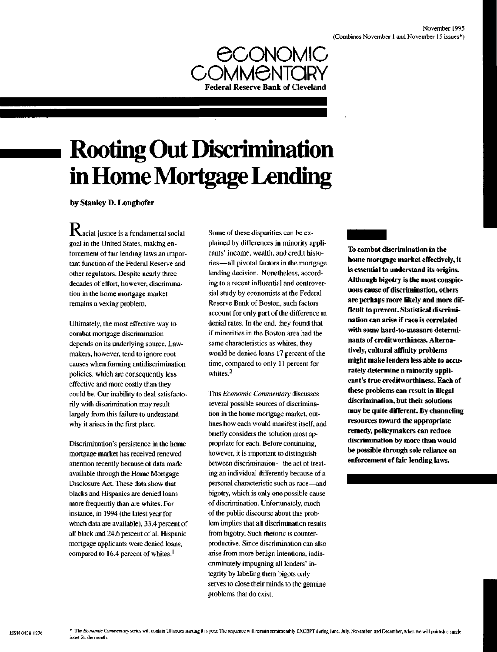

# **Rooting Out Discrimination in Home Mortgage Lending**

by Stanley D. Longhofer

**K**acial justice is a fundamental social goal in the United States, making enforcement of fair lending laws an important function of the Federal Reserve and other regulators. Despite nearly three decades of effort, however, discrimination in the home mortgage market remains a vexing problem.

Ultimately, the most effective way to combat mortgage discrimination depends on its underlying source. Lawmakers, however, tend to ignore root causes when forming antidiscrimination policies, which are consequently less effective and more costly than they could be. Our inability to deal satisfactorily with discrimination may result largely from this failure to understand why it arises in the first place.

Discrimination's persistence in the home mortgage market has received renewed attention recently because of data made available through the Home Mortgage Disclosure Act. These data show that blacks and Hispanics are denied loans more frequently than are whites. For instance, in 1994 (the latest year for which data are available), 33.4 percent of all black and 24.6 percent of all Hispanic mortgage applicants were denied loans, compared to 16.4 percent of whites.<sup>1</sup>

Some of these disparities can be explained by differences in minority applicants' income, wealth, and credit histories—all pivotal factors in the mortgage lending decision. Nonetheless, according to a recent influential and controversial study by economists at the Federal Reserve Bank of Boston, such factors account for only part of the difference in denial rates. In the end, they found that if minorities in the Boston area had the same characteristics as whites, they would be denied loans 17 percent of the time, compared to only 11 percent for whites.<sup>2</sup>

This *Economic Commentary* discusses several possible sources of discrimination in the home mortgage market, outlines how each would manifest itself, and briefly considers the solution most appropriate for each. Before continuing, however, it is important to distinguish between discrimination—the act of treating an individual differently because of a personal characteristic such as race—and bigotry, which is only one possible cause of discrimination. Unfortunately, much of the public discourse about this problem implies that all discrimination results from bigotry. Such rhetoric is counterproductive. Since discrimination can also arise from more benign intentions, indiscriminately impugning all lenders' integrity by labeling them bigots only serves to close their minds to the genuine problems that do exist.

**To combat discrimination in the home mortgage market effectively, it is essential to understand its origins. Although bigotry is the most conspicuous cause of discrimination, others are perhaps more likely and more difficult to prevent. Statistical discrimination can arise if race is correlated with some hard-to-measure determinants of creditworthiness. Alternatively, cultural affinity problems might make lenders less able to accurately determine a minority applicant's true creditworthiness. Each of these problems can result in illegal discrimination, but their solutions may be quite different. By channeling resources toward the appropriate remedy, policymakers can reduce discrimination by more than would be possible through sole reliance on enforcement of fair lending laws.**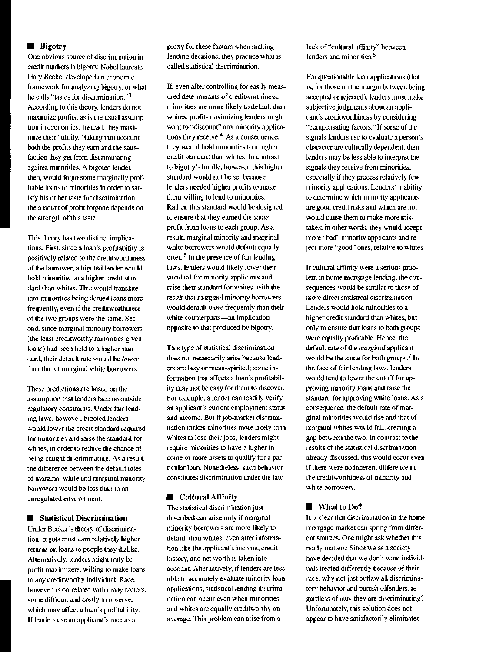### **Bigotry**

One obvious source of discrimination in credit markets is bigotry. Nobel laureate Gary Becker developed an economic framework for analyzing bigotry, or what he calls "tastes for discrimination."<sup>3</sup> According to this theory, lenders do not maximize profits, as is the usual assumption in economics. Instead, they maximize their "utility," taking into account both the profits they earn and the satisfaction they get from discriminating against minorities. A bigoted lender, then, would forgo some marginally profitable loans to minorities in order to satisfy his or her taste for discrimination; the amount of profit forgone depends on the strength of this taste.

This theory has two distinct implications. First, since a loan's profitability is positively related to the creditworthiness of the borrower, a bigoted lender would hold minorities to a higher credit standard than whites. This would translate into minorities being denied loans more frequently, even if the creditworthiness of the two groups were the same. Second, since marginal minority borrowers (the least creditworthy minorities given loans) had been held to a higher standard, their default rate would be *lower* than that of marginal white borrowers.

These predictions are based on the assumption that lenders face no outside regulatory constraints. Under fair lending laws, however, bigoted lenders would lower the credit standard required for minorities and raise the standard for whites, in order to reduce the chance of being caught discriminating. As a result, the difference between the default rates of marginal white and marginal minority borrowers would be less than in an unregulated environment.

## **• Statistical Discrimination**

Under Becker's theory of discrimination, bigots must earn relatively higher returns on loans to people they dislike. Alternatively, lenders might truly be profit maximizers, willing to make loans to any creditworthy individual. Race, however, is correlated with many factors, some difficult and costly to observe, which may affect a loan's profitability. If lenders use an applicant's race as a

proxy for these factors when making lending decisions, they practice what is called statistical discrimination.

If, even after controlling for easily measured determinants of creditworthiness, minorities are more likely to default than whites, profit-maximizing lenders might want to "discount" any minority applications they receive.<sup>4</sup> As a consequence, they would hold minorities to a higher credit standard than whites. In contrast to bigotry's hurdle, however, this higher standard would not be set because lenders needed higher profits to make them willing to lend to minorities. Rather, this standard would be designed to ensure that they earned the *same* profit from loans to each group. As a result, marginal minority and marginal white borrowers would default equally often.<sup>5</sup> In the presence of fair lending laws, lenders would likely lower their standard for minority applicants and raise their standard for whites, with the result that marginal minority borrowers would default *more* frequently than their white counterparts—an implication opposite to that produced by bigotry.

This type of statistical discrimination does not necessarily arise because lenders are lazy or mean-spirited; some information that affects a loan's profitability may not be easy for them to discover. For example, a lender can readily verify an applicant's current employment status and income. But if job-market discrimination makes minorities more likely than whites to lose their jobs, lenders might require minorities to have a higher income or more assets to qualify for a particular loan. Nonetheless, such behavior constitutes discrimination under the law.

#### **• Cultural Affinity**

The statistical discrimination just described can arise only if marginal minority borrowers are more likely to default than whites, even after information like the applicant's income, credit history, and net worth is taken into account. Alternatively, if lenders are less able to accurately evaluate minority loan applications, statistical lending discrimination can occur even when minorities and whites are equally creditworthy on average. This problem can arise from a

lack of "cultural affinity" between lenders and minorities.<sup>6</sup>

For questionable loan applications (that is, for those on the margin between being accepted or rejected), lenders must make subjective judgments about an applicant's creditworthiness by considering "compensating factors." If some of the signals lenders use to evaluate a person's character are culturally dependent, then lenders may be less able to interpret the signals they receive from minorities, especially if they process relatively few minority applications. Lenders' inability to determine which minority applicants are good credit risks and which are not would cause them to make more mistakes; in other words, they would accept more "bad" minority applicants and reject more "good" ones, relative to whites.

If cultural affinity were a serious problem in home mortgage lending, the consequences would be similar to those of more direct statistical discrimination. Lenders would hold minorities to a higher credit standard than whites, but only to ensure that loans to both groups were equally profitable. Hence, the default rate of the *marginal* applicant would be the same for both groups.<sup>7</sup> In the face of fair lending laws, lenders would tend to lower the cutoff for approving minority loans and raise the standard for approving white loans. As a consequence, the default rate of marginal minorities would rise and that of marginal whites would fall, creating a gap between the two. In contrast to the results of the statistical discrimination already discussed, this would occur even if there were no inherent difference in the creditworthiness of minority and white borrowers.

#### ■ What to Do?

It is clear that discrimination in the home mortgage market can spring from different sources. One might ask whether this really matters: Since we as a society have decided that we don't want individuals treated differently because of their race, why not just outlaw all discriminatory behavior and punish offenders, regardless of *why* they are discriminating? Unfortunately, this solution does not appear to have satisfactorily eliminated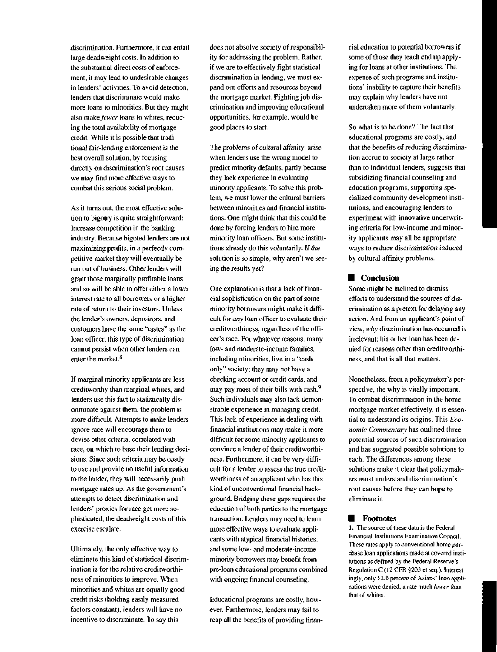discrimination. Furthermore, it can entail large deadweight costs. In addition to the substantial direct costs of enforcement, it may lead to undesirable changes in lenders' activities. To avoid detection, lenders that discriminate would make more loans to minorities. But they might also make *fewer* loans to whites, reducing the total availability of mortgage credit. While it is possible that traditional fair-lending enforcement is the best overall solution, by focusing directly on discrimination's root causes we may find more effective ways to combat this serious social problem.

As it turns out, the most effective solution to bigotry is quite straightforward: Increase competition in the banking industry. Because bigoted lenders are not maximizing profits, in a perfectly competitive market they will eventually be run out of business. Other lenders will grant those marginally profitable loans and so will be able to offer either a lower interest rate to all borrowers or a higher rate of return to their investors. Unless the lender's owners, depositors, and customers have the same "tastes" as the loan officer, this type of discrimination cannot persist when other lenders can enter the market.<sup>8</sup>

If marginal minority applicants are less creditworthy than marginal whites, and lenders use this fact to statistically discriminate against them, the problem is more difficult. Attempts to make lenders ignore race will encourage them to devise other criteria, correlated with race, on which to base their lending decisions. Since such criteria may be costly to use and provide no useful information to the lender, they will necessarily push mortgage rates up. As the government's attempts to detect discrimination and lenders' proxies for race get more sophisticated, the deadweight costs of this exercise escalate.

Ultimately, the only effective way to eliminate this kind of statistical discrimination is for the relative creditworthiness of minorities to improve. When minorities and whites are equally good credit risks (holding easily measured factors constant), lenders will have no incentive to discriminate. To say this

does not absolve society of responsibility for addressing the problem. Rather, if we are to effectively fight statistical discrimination in lending, we must expand our efforts and resources beyond the mortgage market. Fighting job discrimination and improving educational opportunities, for example, would be good places to start.

The problems of cultural affinity arise when lenders use the wrong model to predict minority defaults, partly because they lack experience in evaluating minority applicants. To solve this problem, we must lower the cultural barriers between minorities and financial institutions. One might think that this could be done by forcing lenders to hire more minority loan officers. But some institutions already do this voluntarily. If the solution is so simple, why aren't we seeing the results yet?

One explanation is that a lack of financial sophistication on the part of some minority borrowers might make it difficult for *any* loan officer to evaluate their creditworthiness, regardless of the officer's race. For whatever reasons, many low- and moderate-income families, including minorities, live in a "cash only" society; they may not have a checking account or credit cards, and may pay most of their bills with cash.<sup>9</sup> Such individuals may also lack demonstrable experience in managing credit. This lack of experience in dealing with financial institutions may make it more difficult for some minority applicants to convince a lender of their creditworthiness. Furthermore, it can be very difficult for a lender to assess the true creditworthiness of an applicant who has this kind of unconventional financial background. Bridging these gaps requires the education of both parties to the mortgage transaction: Lenders may need to learn more effective ways to evaluate applicants with atypical financial histories, and some low- and moderate-income minority borrowers may benefit from pre-loan educational programs combined with ongoing financial counseling.

Educational programs are costly, however. Furthermore, lenders may fail to reap all the benefits of providing financial education to potential borrowers if some of those they teach end up applying for loans at other institutions. The expense of such programs and institutions' inability to capture their benefits may explain why lenders have not undertaken more of them voluntarily.

So what is to be done? The fact that educational programs are costly, and that the benefits of reducing discrimination accrue to society at large rather than to individual lenders, suggests that subsidizing financial counseling and education programs, supporting specialized community development institutions, and encouraging lenders to experiment with innovative underwriting criteria for low-income and minority applicants may all be appropriate ways to reduce discrimination induced by cultural affinity problems.

# ■ Conclusion

Some might be inclined to dismiss efforts to understand the sources of discrimination as a pretext for delaying any action. And from an applicant's point of view, *why* discrimination has occurred is irrelevant; his or her loan has been denied for reasons other than creditworthiness, and that is all that matters.

Nonetheless, from a policymaker's perspective, the why is vitally important. To combat discrimination in the home mortgage market effectively, it is essential to understand its origins. This *Economic Commentary* has outlined three potential sources of such discrimination and has suggested possible solutions to each. The differences among these solutions make it clear that policymakers must understand discrimination's root causes before they can hope to eliminate it.

## **Footnotes**

1. The source of these data is the Federal Financial Institutions Examination Council. These rates apply to conventional home purchase loan applications made at covered institutions as defined by the Federal Reserve's Regulation C (12 CFR §203 et seq.). Interestingly, only 12.0 percent of Asians' loan applications were denied, a rate much *lower* than that of whites.